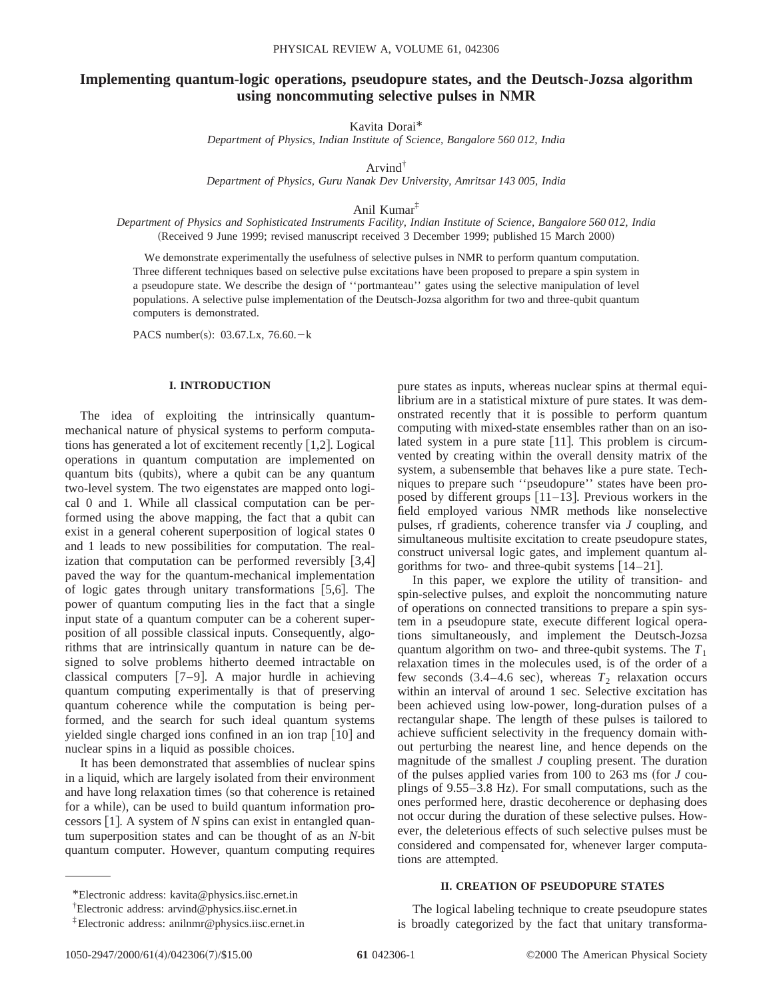# **Implementing quantum-logic operations, pseudopure states, and the Deutsch-Jozsa algorithm using noncommuting selective pulses in NMR**

Kavita Dorai\*

*Department of Physics, Indian Institute of Science, Bangalore 560 012, India*

Arvind†

*Department of Physics, Guru Nanak Dev University, Amritsar 143 005, India*

Anil Kumar‡

*Department of Physics and Sophisticated Instruments Facility, Indian Institute of Science, Bangalore 560 012, India* (Received 9 June 1999; revised manuscript received 3 December 1999; published 15 March 2000)

We demonstrate experimentally the usefulness of selective pulses in NMR to perform quantum computation. Three different techniques based on selective pulse excitations have been proposed to prepare a spin system in a pseudopure state. We describe the design of ''portmanteau'' gates using the selective manipulation of level populations. A selective pulse implementation of the Deutsch-Jozsa algorithm for two and three-qubit quantum computers is demonstrated.

PACS number(s):  $03.67$ .Lx,  $76.60 - k$ 

#### **I. INTRODUCTION**

The idea of exploiting the intrinsically quantummechanical nature of physical systems to perform computations has generated a lot of excitement recently  $[1,2]$ . Logical operations in quantum computation are implemented on quantum bits (qubits), where a qubit can be any quantum two-level system. The two eigenstates are mapped onto logical 0 and 1. While all classical computation can be performed using the above mapping, the fact that a qubit can exist in a general coherent superposition of logical states 0 and 1 leads to new possibilities for computation. The realization that computation can be performed reversibly  $[3,4]$ paved the way for the quantum-mechanical implementation of logic gates through unitary transformations  $[5,6]$ . The power of quantum computing lies in the fact that a single input state of a quantum computer can be a coherent superposition of all possible classical inputs. Consequently, algorithms that are intrinsically quantum in nature can be designed to solve problems hitherto deemed intractable on classical computers  $[7-9]$ . A major hurdle in achieving quantum computing experimentally is that of preserving quantum coherence while the computation is being performed, and the search for such ideal quantum systems yielded single charged ions confined in an ion trap  $[10]$  and nuclear spins in a liquid as possible choices.

It has been demonstrated that assemblies of nuclear spins in a liquid, which are largely isolated from their environment and have long relaxation times (so that coherence is retained for a while), can be used to build quantum information processors  $[1]$ . A system of *N* spins can exist in entangled quantum superposition states and can be thought of as an *N*-bit quantum computer. However, quantum computing requires

pure states as inputs, whereas nuclear spins at thermal equilibrium are in a statistical mixture of pure states. It was demonstrated recently that it is possible to perform quantum computing with mixed-state ensembles rather than on an isolated system in a pure state  $[11]$ . This problem is circumvented by creating within the overall density matrix of the system, a subensemble that behaves like a pure state. Techniques to prepare such ''pseudopure'' states have been proposed by different groups  $[11–13]$ . Previous workers in the field employed various NMR methods like nonselective pulses, rf gradients, coherence transfer via *J* coupling, and simultaneous multisite excitation to create pseudopure states, construct universal logic gates, and implement quantum algorithms for two- and three-qubit systems  $[14–21]$ .

In this paper, we explore the utility of transition- and spin-selective pulses, and exploit the noncommuting nature of operations on connected transitions to prepare a spin system in a pseudopure state, execute different logical operations simultaneously, and implement the Deutsch-Jozsa quantum algorithm on two- and three-qubit systems. The  $T_1$ relaxation times in the molecules used, is of the order of a few seconds  $(3.4-4.6 \text{ sec})$ , whereas  $T_2$  relaxation occurs within an interval of around 1 sec. Selective excitation has been achieved using low-power, long-duration pulses of a rectangular shape. The length of these pulses is tailored to achieve sufficient selectivity in the frequency domain without perturbing the nearest line, and hence depends on the magnitude of the smallest *J* coupling present. The duration of the pulses applied varies from  $100$  to  $263$  ms (for *J* couplings of 9.55–3.8 Hz). For small computations, such as the ones performed here, drastic decoherence or dephasing does not occur during the duration of these selective pulses. However, the deleterious effects of such selective pulses must be considered and compensated for, whenever larger computations are attempted.

### **II. CREATION OF PSEUDOPURE STATES**

\*Electronic address: kavita@physics.iisc.ernet.in

The logical labeling technique to create pseudopure states is broadly categorized by the fact that unitary transforma-

<sup>†</sup> Electronic address: arvind@physics.iisc.ernet.in

<sup>‡</sup>Electronic address: anilnmr@physics.iisc.ernet.in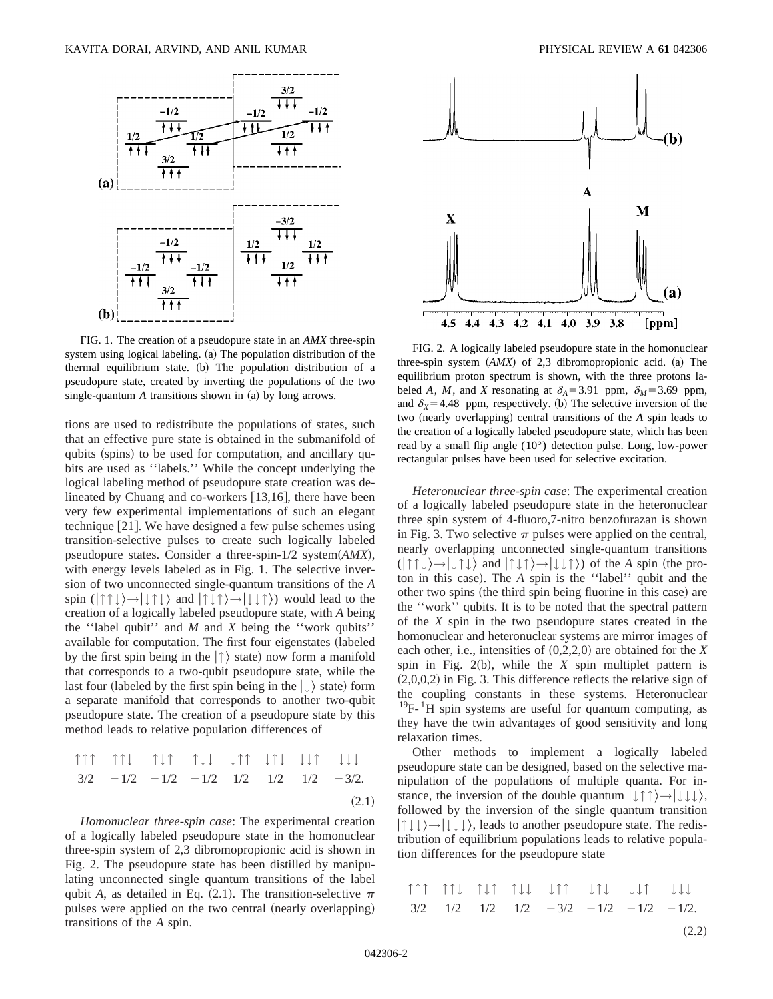

FIG. 1. The creation of a pseudopure state in an *AMX* three-spin system using logical labeling. (a) The population distribution of the thermal equilibrium state. (b) The population distribution of a pseudopure state, created by inverting the populations of the two single-quantum  $A$  transitions shown in  $(a)$  by long arrows.

tions are used to redistribute the populations of states, such that an effective pure state is obtained in the submanifold of qubits (spins) to be used for computation, and ancillary qubits are used as ''labels.'' While the concept underlying the logical labeling method of pseudopure state creation was delineated by Chuang and co-workers  $[13,16]$ , there have been very few experimental implementations of such an elegant technique  $[21]$ . We have designed a few pulse schemes using transition-selective pulses to create such logically labeled pseudopure states. Consider a three-spin-1/2 system $(AMX)$ , with energy levels labeled as in Fig. 1. The selective inversion of two unconnected single-quantum transitions of the *A* spin  $(| \uparrow \uparrow \downarrow \rangle \rightarrow | \downarrow \uparrow \downarrow \rangle$  and  $| \uparrow \downarrow \uparrow \rangle \rightarrow | \downarrow \downarrow \uparrow \rangle$  would lead to the creation of a logically labeled pseudopure state, with *A* being the ''label qubit'' and *M* and *X* being the ''work qubits'' available for computation. The first four eigenstates (labeled by the first spin being in the  $|\uparrow\rangle$  state) now form a manifold that corresponds to a two-qubit pseudopure state, while the last four (labeled by the first spin being in the  $| \downarrow \rangle$  state) form a separate manifold that corresponds to another two-qubit pseudopure state. The creation of a pseudopure state by this method leads to relative population differences of

$$
\begin{array}{ccccccc}\n\uparrow & \uparrow & \uparrow & \uparrow & \uparrow & \uparrow & \uparrow & \downarrow & \downarrow & \uparrow & \uparrow & \downarrow & \downarrow & \downarrow & \downarrow & \downarrow & \downarrow & \downarrow & \downarrow & \downarrow & \\
3/2 & -1/2 & -1/2 & -1/2 & 1/2 & 1/2 & 1/2 & 1/2 & -3/2.\n\end{array}
$$
\n
$$
(2.1)
$$

*Homonuclear three-spin case*: The experimental creation of a logically labeled pseudopure state in the homonuclear three-spin system of 2,3 dibromopropionic acid is shown in Fig. 2. The pseudopure state has been distilled by manipulating unconnected single quantum transitions of the label qubit *A*, as detailed in Eq.  $(2.1)$ . The transition-selective  $\pi$ pulses were applied on the two central (nearly overlapping) transitions of the *A* spin.



FIG. 2. A logically labeled pseudopure state in the homonuclear three-spin system  $(AMX)$  of 2,3 dibromopropionic acid. (a) The equilibrium proton spectrum is shown, with the three protons labeled *A*, *M*, and *X* resonating at  $\delta_A = 3.91$  ppm,  $\delta_M = 3.69$  ppm, and  $\delta_X$ =4.48 ppm, respectively. (b) The selective inversion of the two (nearly overlapping) central transitions of the *A* spin leads to the creation of a logically labeled pseudopure state, which has been read by a small flip angle (10°) detection pulse. Long, low-power rectangular pulses have been used for selective excitation.

*Heteronuclear three-spin case*: The experimental creation of a logically labeled pseudopure state in the heteronuclear three spin system of 4-fluoro,7-nitro benzofurazan is shown in Fig. 3. Two selective  $\pi$  pulses were applied on the central, nearly overlapping unconnected single-quantum transitions  $(| \uparrow \uparrow \downarrow \rangle \rightarrow | \downarrow \uparrow \downarrow \rangle$  and  $| \uparrow \downarrow \uparrow \rangle \rightarrow | \downarrow \downarrow \uparrow \rangle$  of the *A* spin (the proton in this case). The *A* spin is the "label" qubit and the other two spins (the third spin being fluorine in this case) are the ''work'' qubits. It is to be noted that the spectral pattern of the *X* spin in the two pseudopure states created in the homonuclear and heteronuclear systems are mirror images of each other, i.e., intensities of  $(0,2,2,0)$  are obtained for the *X* spin in Fig.  $2(b)$ , while the *X* spin multiplet pattern is  $(2,0,0,2)$  in Fig. 3. This difference reflects the relative sign of the coupling constants in these systems. Heteronuclear  $19F-1H$  spin systems are useful for quantum computing, as they have the twin advantages of good sensitivity and long relaxation times.

Other methods to implement a logically labeled pseudopure state can be designed, based on the selective manipulation of the populations of multiple quanta. For instance, the inversion of the double quantum  $|\downarrow \uparrow \uparrow \rangle \rightarrow |\downarrow \downarrow \downarrow \rangle$ , followed by the inversion of the single quantum transition  $|\uparrow \downarrow \downarrow \rangle \rightarrow |\downarrow \downarrow \rangle$ , leads to another pseudopure state. The redistribution of equilibrium populations leads to relative population differences for the pseudopure state

|  |  |  | $\begin{minipage}{0.9\linewidth} \begin{tabular}{c} \multicolumn{4}{c} {\textbf{array}} \end{tabular} \begin{minipage}{0.9\linewidth} \begin{tabular}{c} \multicolumn{4}{c} {\textbf{array}} \end{tabular} \end{minipage} \begin{minipage}{0.9\linewidth} \begin{tabular}{c} {\textbf{array}} \end{tabular} \end{minipage} \begin{minipage}{0.9\linewidth} \end{minipage} \begin{minipage}{0.9\linewidth} \begin{tabular}{c} {\textbf{array}} \end{tabular} \end{minipage} \begin{minipage}{0.9\linewidth} \begin{tabular}{c} {\textbf{array}} \end$ |
|--|--|--|------------------------------------------------------------------------------------------------------------------------------------------------------------------------------------------------------------------------------------------------------------------------------------------------------------------------------------------------------------------------------------------------------------------------------------------------------------------------------------------------------------------------------------------------------|
|  |  |  | $3/2$ $1/2$ $1/2$ $1/2$ $-3/2$ $-1/2$ $-1/2$ $-1/2$ .                                                                                                                                                                                                                                                                                                                                                                                                                                                                                                |

 $(2.2)$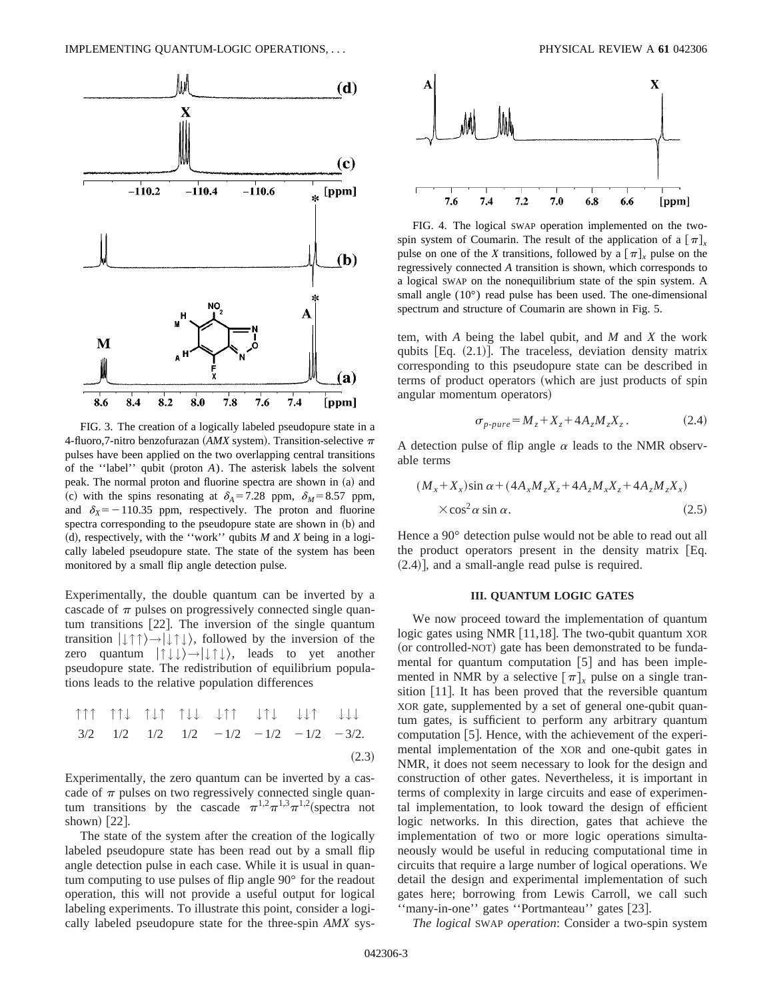

FIG. 3. The creation of a logically labeled pseudopure state in a 4-fluoro,7-nitro benzofurazan ( $AMX$  system). Transition-selective  $\pi$ pulses have been applied on the two overlapping central transitions of the "label" qubit (proton  $A$ ). The asterisk labels the solvent peak. The normal proton and fluorine spectra are shown in (a) and (c) with the spins resonating at  $\delta_A = 7.28$  ppm,  $\delta_M = 8.57$  ppm, and  $\delta_X = -110.35$  ppm, respectively. The proton and fluorine spectra corresponding to the pseudopure state are shown in (b) and  $(d)$ , respectively, with the "work" qubits *M* and *X* being in a logically labeled pseudopure state. The state of the system has been monitored by a small flip angle detection pulse.

Experimentally, the double quantum can be inverted by a cascade of  $\pi$  pulses on progressively connected single quantum transitions  $[22]$ . The inversion of the single quantum transition  $|\downarrow \uparrow \uparrow \rangle \rightarrow |\downarrow \uparrow \downarrow \rangle$ , followed by the inversion of the zero quantum  $|\uparrow \downarrow \downarrow \rangle \rightarrow |\downarrow \uparrow \downarrow \rangle$ , leads to yet another pseudopure state. The redistribution of equilibrium populations leads to the relative population differences

$$
\begin{array}{ccccccc}\n\uparrow & \uparrow & \uparrow & \uparrow & \downarrow & \uparrow & \downarrow & \downarrow & \uparrow & \downarrow & \downarrow & \downarrow & \downarrow & \downarrow & \downarrow & \downarrow & \downarrow & \downarrow \\
3/2 & 1/2 & 1/2 & 1/2 & 1/2 & -1/2 & -1/2 & -1/2 & -3/2.\n\end{array}
$$
\n
$$
(2.3)
$$

Experimentally, the zero quantum can be inverted by a cascade of  $\pi$  pulses on two regressively connected single quantum transitions by the cascade  $\pi^{1,2}\pi^{1,3}\pi^{1,2}$  (spectra not shown)  $\left[22\right]$ .

The state of the system after the creation of the logically labeled pseudopure state has been read out by a small flip angle detection pulse in each case. While it is usual in quantum computing to use pulses of flip angle 90° for the readout operation, this will not provide a useful output for logical labeling experiments. To illustrate this point, consider a logically labeled pseudopure state for the three-spin *AMX* sys-



FIG. 4. The logical SWAP operation implemented on the twospin system of Coumarin. The result of the application of a  $\lceil \pi \rceil$ . pulse on one of the *X* transitions, followed by a  $[\pi]_x$  pulse on the regressively connected *A* transition is shown, which corresponds to a logical SWAP on the nonequilibrium state of the spin system. A small angle (10°) read pulse has been used. The one-dimensional spectrum and structure of Coumarin are shown in Fig. 5.

tem, with *A* being the label qubit, and *M* and *X* the work qubits  $[Eq. (2.1)]$ . The traceless, deviation density matrix corresponding to this pseudopure state can be described in terms of product operators (which are just products of spin angular momentum operators)

$$
\sigma_{p-pure} = M_z + X_z + 4A_z M_z X_z. \tag{2.4}
$$

A detection pulse of flip angle  $\alpha$  leads to the NMR observable terms

$$
(M_x + X_x)\sin\alpha + (4A_xM_zX_z + 4A_zM_xX_z + 4A_zM_zX_x)
$$
  
× cos<sup>2</sup> α sin α. (2.5)

Hence a 90° detection pulse would not be able to read out all the product operators present in the density matrix  $[Eq.$  $(2.4)$ ], and a small-angle read pulse is required.

#### **III. QUANTUM LOGIC GATES**

We now proceed toward the implementation of quantum logic gates using NMR  $[11,18]$ . The two-qubit quantum XOR (or controlled-NOT) gate has been demonstrated to be fundamental for quantum computation  $[5]$  and has been implemented in NMR by a selective  $[\pi]_x$  pulse on a single transition  $[11]$ . It has been proved that the reversible quantum XOR gate, supplemented by a set of general one-qubit quantum gates, is sufficient to perform any arbitrary quantum computation  $[5]$ . Hence, with the achievement of the experimental implementation of the XOR and one-qubit gates in NMR, it does not seem necessary to look for the design and construction of other gates. Nevertheless, it is important in terms of complexity in large circuits and ease of experimental implementation, to look toward the design of efficient logic networks. In this direction, gates that achieve the implementation of two or more logic operations simultaneously would be useful in reducing computational time in circuits that require a large number of logical operations. We detail the design and experimental implementation of such gates here; borrowing from Lewis Carroll, we call such "many-in-one" gates "Portmanteau" gates [23].

*The logical* SWAP *operation*: Consider a two-spin system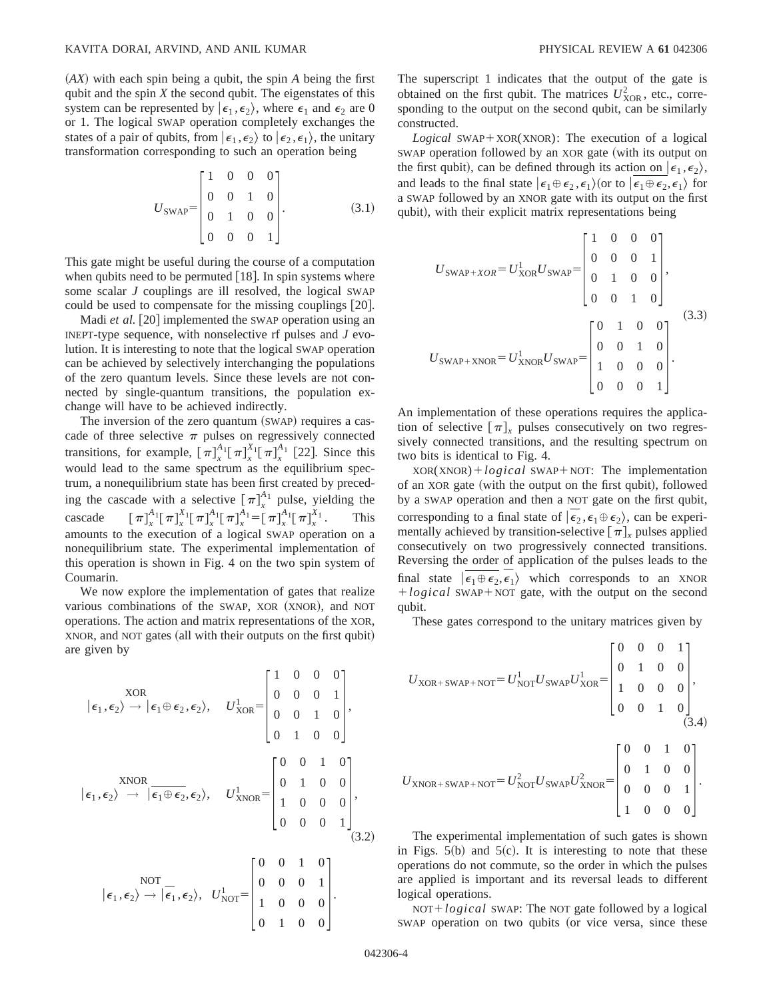~*AX*! with each spin being a qubit, the spin *A* being the first qubit and the spin *X* the second qubit. The eigenstates of this system can be represented by  $|\epsilon_1, \epsilon_2\rangle$ , where  $\epsilon_1$  and  $\epsilon_2$  are 0 or 1. The logical SWAP operation completely exchanges the states of a pair of qubits, from  $|\epsilon_1, \epsilon_2\rangle$  to  $|\epsilon_2, \epsilon_1\rangle$ , the unitary transformation corresponding to such an operation being

$$
U_{\text{SWAP}} = \begin{bmatrix} 1 & 0 & 0 & 0 \\ 0 & 0 & 1 & 0 \\ 0 & 1 & 0 & 0 \\ 0 & 0 & 0 & 1 \end{bmatrix} . \tag{3.1}
$$

This gate might be useful during the course of a computation when qubits need to be permuted  $[18]$ . In spin systems where some scalar *J* couplings are ill resolved, the logical SWAP could be used to compensate for the missing couplings [20].

Madi *et al.* [20] implemented the SWAP operation using an INEPT-type sequence, with nonselective rf pulses and *J* evolution. It is interesting to note that the logical SWAP operation can be achieved by selectively interchanging the populations of the zero quantum levels. Since these levels are not connected by single-quantum transitions, the population exchange will have to be achieved indirectly.

The inversion of the zero quantum (SWAP) requires a cascade of three selective  $\pi$  pulses on regressively connected transitions, for example,  $[\pi]_x^{A_1} [\pi]_x^{X_1} [\pi]_x^{A_1}$  [22]. Since this would lead to the same spectrum as the equilibrium spectrum, a nonequilibrium state has been first created by preceding the cascade with a selective  $[\pi]_x^{A_1}$  pulse, yielding the  $cascade$  $\int_{x}^{A_{1}}$   $\left[ \pi \right]_{x}^{X_{1}}$   $\left[ \pi \right]_{x}^{A_{1}}$   $\left[ \pi \right]_{x}^{A_{1}}$   $\left[ \pi \right]_{x}^{X_{1}}$ *<sup>X</sup>*<sup>1</sup> . This amounts to the execution of a logical SWAP operation on a nonequilibrium state. The experimental implementation of this operation is shown in Fig. 4 on the two spin system of Coumarin.

We now explore the implementation of gates that realize various combinations of the SWAP, XOR (XNOR), and NOT operations. The action and matrix representations of the XOR, XNOR, and NOT gates (all with their outputs on the first qubit) are given by

$$
|\epsilon_1, \epsilon_2\rangle \rightarrow |\epsilon_1 \oplus \epsilon_2, \epsilon_2\rangle, \quad U_{XOR}^1 = \begin{bmatrix} 1 & 0 & 0 & 0 \\ 0 & 0 & 0 & 1 \\ 0 & 0 & 1 & 0 \\ 0 & 1 & 0 & 0 \end{bmatrix},
$$

$$
|\epsilon_1, \epsilon_2\rangle \rightarrow |\epsilon_1 \oplus \epsilon_2, \epsilon_2\rangle, \quad U_{XNOR}^1 = \begin{bmatrix} 0 & 0 & 1 & 0 \\ 0 & 1 & 0 & 0 \\ 1 & 0 & 0 & 0 \\ 0 & 0 & 0 & 1 \end{bmatrix},
$$

$$
|\epsilon_1, \epsilon_2\rangle \rightarrow |\bar{\epsilon}_1, \epsilon_2\rangle, \quad U_{NOT}^1 = \begin{bmatrix} 0 & 0 & 1 & 0 \\ 0 & 0 & 0 & 1 \\ 0 & 0 & 0 & 1 \\ 1 & 0 & 0 & 0 \\ 0 & 1 & 0 & 0 \end{bmatrix}.
$$

The superscript 1 indicates that the output of the gate is obtained on the first qubit. The matrices  $U_{XOR}^2$ , etc., corresponding to the output on the second qubit, can be similarly constructed.

 $Logical$  SWAP+XOR(XNOR): The execution of a logical SWAP operation followed by an XOR gate (with its output on the first qubit), can be defined through its action on  $\ket{\epsilon_1, \epsilon_2}$ , and leads to the final state  $\epsilon_1 \oplus \epsilon_2, \epsilon_1$  (or to  $\epsilon_1 \oplus \epsilon_2, \epsilon_1$  for a SWAP followed by an XNOR gate with its output on the first qubit), with their explicit matrix representations being

$$
U_{\text{SWAP}+XOR} = U_{\text{XOR}}^1 U_{\text{SWAP}} = \begin{bmatrix} 1 & 0 & 0 & 0 \\ 0 & 0 & 0 & 1 \\ 0 & 1 & 0 & 0 \\ 0 & 0 & 1 & 0 \end{bmatrix},
$$
  
\n
$$
U_{\text{SWAP}+\text{XNOR}} = U_{\text{XNOR}}^1 U_{\text{SWAP}} = \begin{bmatrix} 0 & 1 & 0 & 0 \\ 0 & 0 & 1 & 0 \\ 1 & 0 & 0 & 0 \\ 0 & 0 & 0 & 1 \end{bmatrix}.
$$
 (3.3)

An implementation of these operations requires the application of selective  $[\pi]_x$  pulses consecutively on two regressively connected transitions, and the resulting spectrum on two bits is identical to Fig. 4.

 $XOR(XNOR) + logicalSWAP + NOT: The implementation$ of an XOR gate (with the output on the first qubit), followed by a SWAP operation and then a NOT gate on the first qubit, corresponding to a final state of  $\ket{\bar{\epsilon}_2, \epsilon_1 \oplus \epsilon_2}$ , can be experimentally achieved by transition-selective  $\lceil \pi \rceil$ <sub>x</sub> pulses applied consecutively on two progressively connected transitions. Reversing the order of application of the pulses leads to the final state  $|\epsilon_1 \oplus \epsilon_2, \overline{\epsilon}_1\rangle$  which corresponds to an XNOR +logical SWAP+NOT gate, with the output on the second qubit.

These gates correspond to the unitary matrices given by

$$
U_{\text{XOR}+\text{SWAP}+\text{NOT}} = U_{\text{NOT}}^{1}U_{\text{SWAP}}U_{\text{XOR}}^{1} = \begin{bmatrix} 0 & 0 & 0 & 1 \\ 0 & 1 & 0 & 0 \\ 1 & 0 & 0 & 0 \\ 0 & 0 & 1 & 0 \end{bmatrix},
$$
\n(3.4)

$$
U_{\text{XNOR}+\text{SWAP}+\text{NOT}} = U_{\text{NOT}}^{2} U_{\text{SWAP}} U_{\text{XNOR}}^{2} = \begin{bmatrix} 0 & 0 & 1 & 0 \\ 0 & 1 & 0 & 0 \\ 0 & 0 & 0 & 1 \\ 1 & 0 & 0 & 0 \end{bmatrix}.
$$

The experimental implementation of such gates is shown in Figs.  $5(b)$  and  $5(c)$ . It is interesting to note that these operations do not commute, so the order in which the pulses are applied is important and its reversal leads to different logical operations.

NOT+*logical* SWAP: The NOT gate followed by a logical SWAP operation on two qubits (or vice versa, since these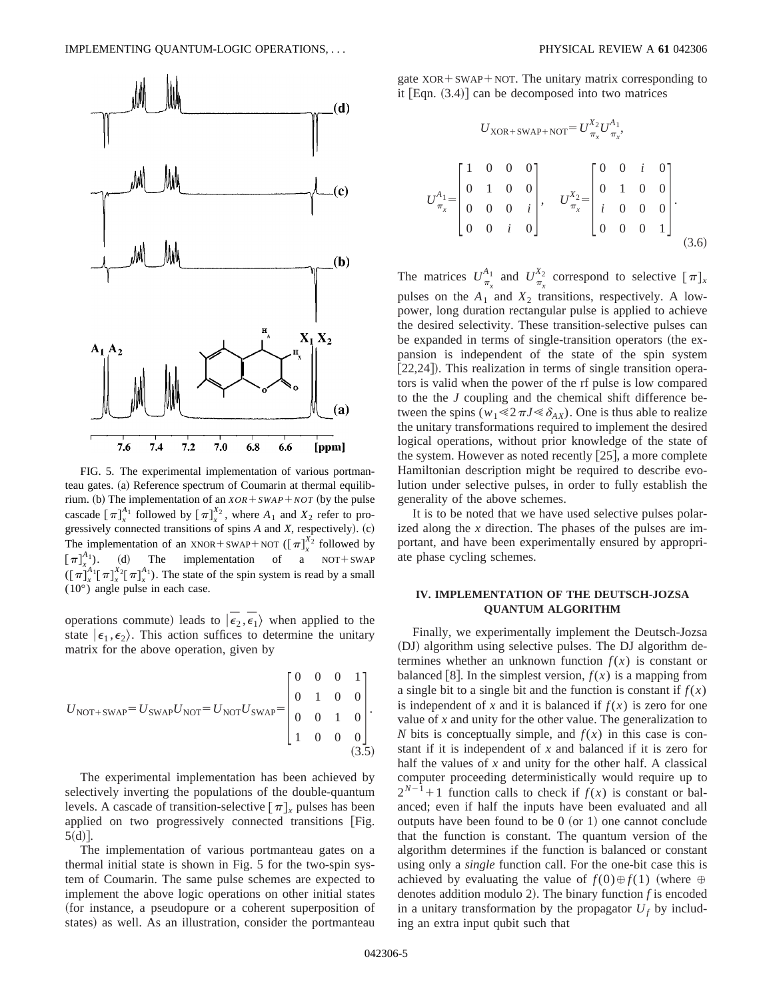

FIG. 5. The experimental implementation of various portmanteau gates. (a) Reference spectrum of Coumarin at thermal equilibrium. (b) The implementation of an  $XOR + SWAP + NOT$  (by the pulse cascade  $[\pi]_x^{A_1}$  followed by  $[\pi]_x^{X_2}$ , where  $A_1$  and  $X_2$  refer to progressively connected transitions of spins *A* and *X*, respectively). (c) The implementation of an XNOR + SWAP + NOT ( $\left[\pi\right]_x^{X_2}$  followed by  $[\pi]_x^{A_1}$ . (d) The implementation of a NOT+SWAP  $(\lceil \pi \rceil_x^{\lambda_1} \lceil \pi \rceil_x^{X_2} \lceil \pi \rceil_x^{\lambda_1})$ . The state of the spin system is read by a small (10°) angle pulse in each case.

operations commute) leads to  $|\vec{\epsilon}_2, \vec{\epsilon}_1\rangle$  when applied to the state  $\ket{\epsilon_1,\epsilon_2}$ . This action suffices to determine the unitary matrix for the above operation, given by

$$
U_{\text{NOT}+SWAP} = U_{\text{SWAP}} U_{\text{NOT}} = U_{\text{NOT}} U_{\text{SWAP}} = \begin{bmatrix} 0 & 0 & 0 & 1 \\ 0 & 1 & 0 & 0 \\ 0 & 0 & 1 & 0 \\ 1 & 0 & 0 & 0 \end{bmatrix}.
$$
\n(3.5)

The experimental implementation has been achieved by selectively inverting the populations of the double-quantum levels. A cascade of transition-selective  $\lceil \pi \rceil$ <sub>x</sub> pulses has been applied on two progressively connected transitions  $|Fig.$  $5(d)$ .

The implementation of various portmanteau gates on a thermal initial state is shown in Fig. 5 for the two-spin system of Coumarin. The same pulse schemes are expected to implement the above logic operations on other initial states (for instance, a pseudopure or a coherent superposition of states) as well. As an illustration, consider the portmanteau gate  $XOR + SWAP + NOT$ . The unitary matrix corresponding to it  $[Eqn. (3.4)]$  can be decomposed into two matrices

$$
U_{XOR+SWAP+NOT} = U_{\pi_x}^{X_2} U_{\pi_x}^{A_1},
$$
  
\n
$$
U_{\pi_x}^{A_1} = \begin{bmatrix} 1 & 0 & 0 & 0 \\ 0 & 1 & 0 & 0 \\ 0 & 0 & 0 & i \\ 0 & 0 & i & 0 \end{bmatrix}, \quad U_{\pi_x}^{X_2} = \begin{bmatrix} 0 & 0 & i & 0 \\ 0 & 1 & 0 & 0 \\ i & 0 & 0 & 0 \\ 0 & 0 & 0 & 1 \end{bmatrix}.
$$
  
\n(3.6)

The matrices  $U_{\pi_x}^{\lambda_1}$  and  $U_{\pi_x}^{\lambda_2}$  correspond to selective  $[\pi]_x$ pulses on the  $A_1$  and  $X_2$  transitions, respectively. A lowpower, long duration rectangular pulse is applied to achieve the desired selectivity. These transition-selective pulses can be expanded in terms of single-transition operators (the expansion is independent of the state of the spin system [22,24]). This realization in terms of single transition operators is valid when the power of the rf pulse is low compared to the the *J* coupling and the chemical shift difference between the spins ( $w_1 \leq 2\pi J \leq \delta_{AX}$ ). One is thus able to realize the unitary transformations required to implement the desired logical operations, without prior knowledge of the state of the system. However as noted recently  $[25]$ , a more complete Hamiltonian description might be required to describe evolution under selective pulses, in order to fully establish the generality of the above schemes.

It is to be noted that we have used selective pulses polarized along the *x* direction. The phases of the pulses are important, and have been experimentally ensured by appropriate phase cycling schemes.

## **IV. IMPLEMENTATION OF THE DEUTSCH-JOZSA QUANTUM ALGORITHM**

Finally, we experimentally implement the Deutsch-Jozsa (DJ) algorithm using selective pulses. The DJ algorithm determines whether an unknown function  $f(x)$  is constant or balanced [8]. In the simplest version,  $f(x)$  is a mapping from a single bit to a single bit and the function is constant if  $f(x)$ is independent of *x* and it is balanced if  $f(x)$  is zero for one value of *x* and unity for the other value. The generalization to *N* bits is conceptually simple, and  $f(x)$  in this case is constant if it is independent of *x* and balanced if it is zero for half the values of *x* and unity for the other half. A classical computer proceeding deterministically would require up to  $2^{N-1}+1$  function calls to check if  $f(x)$  is constant or balanced; even if half the inputs have been evaluated and all outputs have been found to be  $0$  (or 1) one cannot conclude that the function is constant. The quantum version of the algorithm determines if the function is balanced or constant using only a *single* function call. For the one-bit case this is achieved by evaluating the value of  $f(0) \oplus f(1)$  (where  $\oplus$ denotes addition modulo 2). The binary function  $f$  is encoded in a unitary transformation by the propagator  $U_f$  by including an extra input qubit such that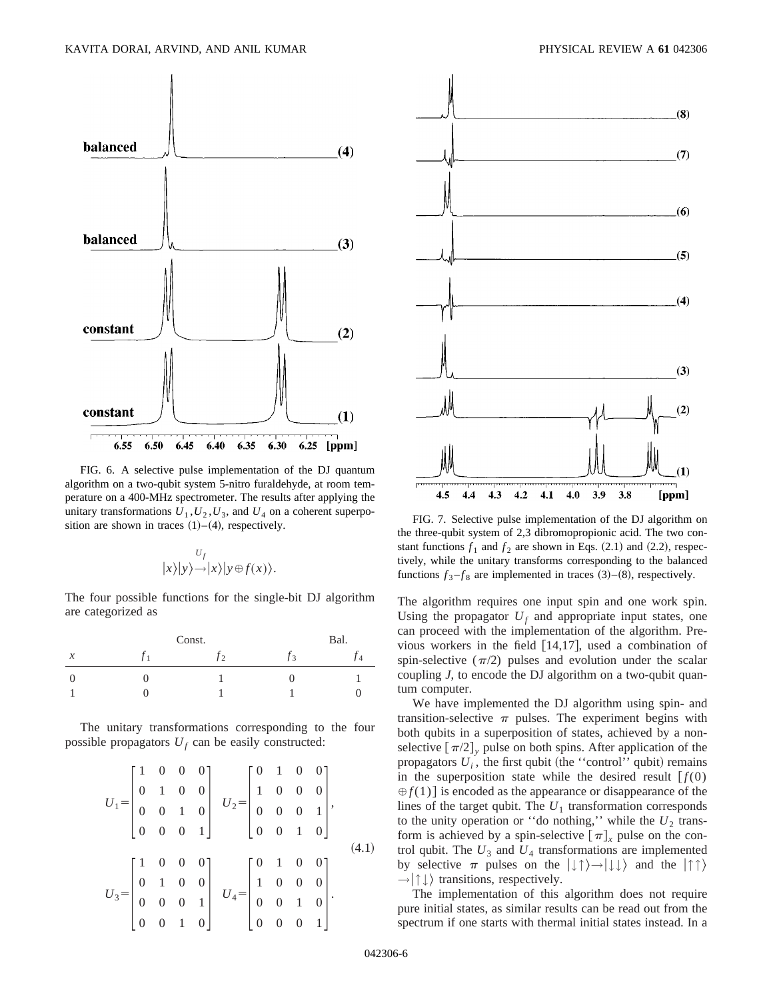

FIG. 6. A selective pulse implementation of the DJ quantum algorithm on a two-qubit system 5-nitro furaldehyde, at room temperature on a 400-MHz spectrometer. The results after applying the unitary transformations  $U_1$ ,  $U_2$ ,  $U_3$ , and  $U_4$  on a coherent superposition are shown in traces (1)–(4), respectively.

$$
|y|_{y}\rangle \rightarrow |x\rangle |y \oplus f(x)\rangle.
$$

The four possible functions for the single-bit DJ algorithm are categorized as

|                     | Const. | Bal. |  |
|---------------------|--------|------|--|
| $\boldsymbol{\chi}$ |        |      |  |
|                     |        |      |  |
|                     |        |      |  |

The unitary transformations corresponding to the four possible propagators  $U_f$  can be easily constructed:

$$
U_{1} = \begin{bmatrix} 1 & 0 & 0 & 0 \\ 0 & 1 & 0 & 0 \\ 0 & 0 & 1 & 0 \\ 0 & 0 & 0 & 1 \end{bmatrix} \quad U_{2} = \begin{bmatrix} 0 & 1 & 0 & 0 \\ 1 & 0 & 0 & 0 \\ 0 & 0 & 0 & 1 \\ 0 & 0 & 1 & 0 \end{bmatrix},
$$
  
\n
$$
U_{3} = \begin{bmatrix} 1 & 0 & 0 & 0 \\ 0 & 1 & 0 & 0 \\ 0 & 0 & 0 & 1 \\ 0 & 0 & 1 & 0 \end{bmatrix} \quad U_{4} = \begin{bmatrix} 0 & 1 & 0 & 0 \\ 1 & 0 & 0 & 0 \\ 0 & 0 & 1 & 0 \\ 0 & 0 & 0 & 1 \end{bmatrix}.
$$
  
\n(4.1)





FIG. 7. Selective pulse implementation of the DJ algorithm on the three-qubit system of 2,3 dibromopropionic acid. The two constant functions  $f_1$  and  $f_2$  are shown in Eqs.  $(2.1)$  and  $(2.2)$ , respectively, while the unitary transforms corresponding to the balanced functions  $f_3 - f_8$  are implemented in traces  $(3)$ – $(8)$ , respectively.

The algorithm requires one input spin and one work spin. Using the propagator  $U_f$  and appropriate input states, one can proceed with the implementation of the algorithm. Previous workers in the field  $[14,17]$ , used a combination of spin-selective  $(\pi/2)$  pulses and evolution under the scalar coupling *J*, to encode the DJ algorithm on a two-qubit quantum computer.

We have implemented the DJ algorithm using spin- and transition-selective  $\pi$  pulses. The experiment begins with both qubits in a superposition of states, achieved by a nonselective  $[\pi/2]$ <sub>y</sub> pulse on both spins. After application of the propagators  $U_i$ , the first qubit (the "control" qubit) remains in the superposition state while the desired result  $[f(0)]$  $\oplus f(1)$  is encoded as the appearance or disappearance of the lines of the target qubit. The  $U_1$  transformation corresponds to the unity operation or "do nothing," while the  $U_2$  transform is achieved by a spin-selective  $[\pi]_x$  pulse on the control qubit. The  $U_3$  and  $U_4$  transformations are implemented by selective  $\pi$  pulses on the  $|\downarrow\uparrow\rangle \rightarrow |\downarrow\downarrow\rangle$  and the  $|\uparrow\uparrow\rangle$  $\rightarrow$  \| \tansitions, respectively.

The implementation of this algorithm does not require pure initial states, as similar results can be read out from the spectrum if one starts with thermal initial states instead. In a